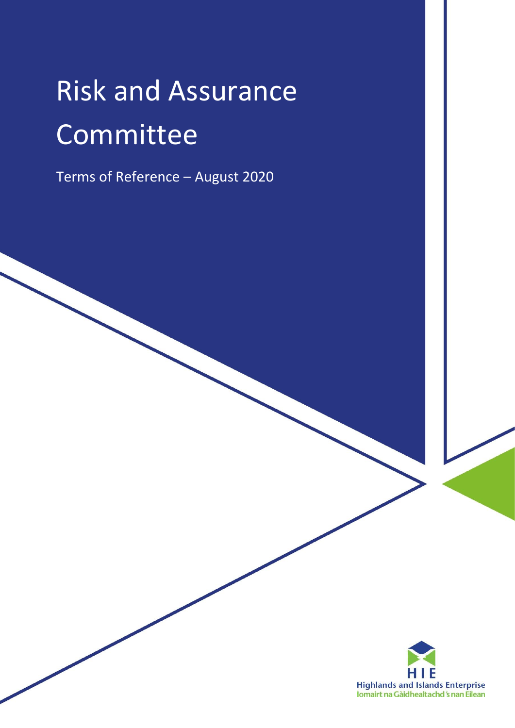# Risk and Assurance Committee

Terms of Reference – August 2020

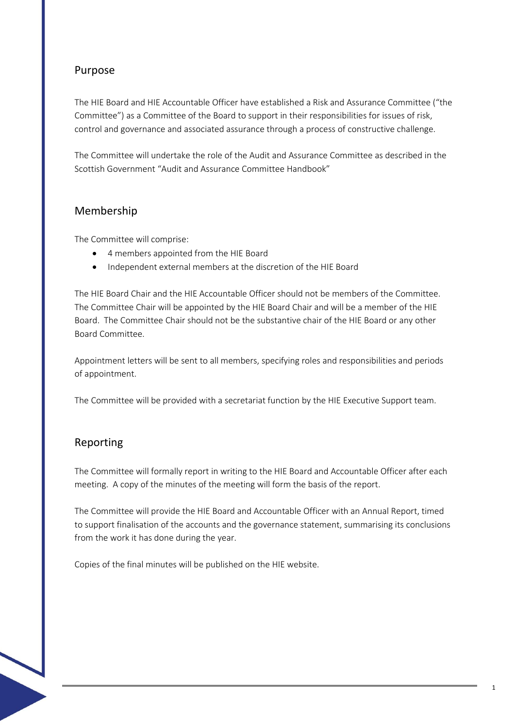# Purpose

The HIE Board and HIE Accountable Officer have established a Risk and Assurance Committee ("the Committee") as a Committee of the Board to support in their responsibilities for issues of risk, control and governance and associated assurance through a process of constructive challenge.

The Committee will undertake the role of the Audit and Assurance Committee as described in the Scottish Government "Audit and Assurance Committee Handbook"

### Membership

The Committee will comprise:

- 4 members appointed from the HIE Board
- Independent external members at the discretion of the HIE Board

The HIE Board Chair and the HIE Accountable Officer should not be members of the Committee. The Committee Chair will be appointed by the HIE Board Chair and will be a member of the HIE Board. The Committee Chair should not be the substantive chair of the HIE Board or any other Board Committee.

Appointment letters will be sent to all members, specifying roles and responsibilities and periods of appointment.

The Committee will be provided with a secretariat function by the HIE Executive Support team.

### Reporting

The Committee will formally report in writing to the HIE Board and Accountable Officer after each meeting. A copy of the minutes of the meeting will form the basis of the report.

The Committee will provide the HIE Board and Accountable Officer with an Annual Report, timed to support finalisation of the accounts and the governance statement, summarising its conclusions from the work it has done during the year.

Copies of the final minutes will be published on the HIE website.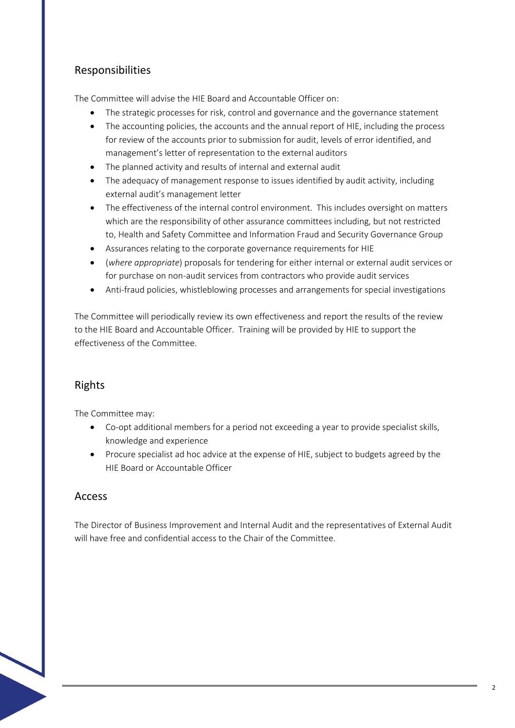# Responsibilities

The Committee will advise the HIE Board and Accountable Officer on:

- The strategic processes for risk, control and governance and the governance statement
- The accounting policies, the accounts and the annual report of HIE, including the process for review of the accounts prior to submission for audit, levels of error identified, and management's letter of representation to the external auditors
- The planned activity and results of internal and external audit
- The adequacy of management response to issues identified by audit activity, including external audit's management letter
- The effectiveness of the internal control environment. This includes oversight on matters which are the responsibility of other assurance committees including, but not restricted to, Health and Safety Committee and Information Fraud and Security Governance Group
- Assurances relating to the corporate governance requirements for HIE
- (*where appropriate*) proposals for tendering for either internal or external audit services or for purchase on non-audit services from contractors who provide audit services
- Anti-fraud policies, whistleblowing processes and arrangements for special investigations

The Committee will periodically review its own effectiveness and report the results of the review to the HIE Board and Accountable Officer. Training will be provided by HIE to support the effectiveness of the Committee.

# Rights

The Committee may:

- Co-opt additional members for a period not exceeding a year to provide specialist skills, knowledge and experience
- Procure specialist ad hoc advice at the expense of HIE, subject to budgets agreed by the HIE Board or Accountable Officer

#### Access

The Director of Business Improvement and Internal Audit and the representatives of External Audit will have free and confidential access to the Chair of the Committee.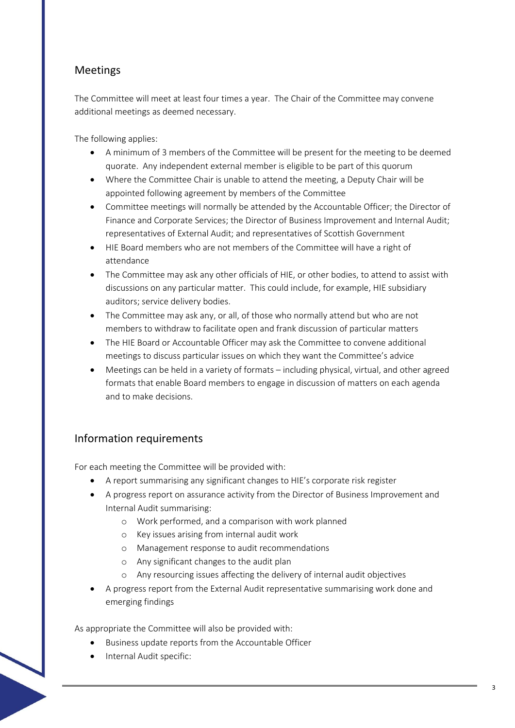# Meetings

The Committee will meet at least four times a year. The Chair of the Committee may convene additional meetings as deemed necessary.

The following applies:

- A minimum of 3 members of the Committee will be present for the meeting to be deemed quorate. Any independent external member is eligible to be part of this quorum
- Where the Committee Chair is unable to attend the meeting, a Deputy Chair will be appointed following agreement by members of the Committee
- Committee meetings will normally be attended by the Accountable Officer; the Director of Finance and Corporate Services; the Director of Business Improvement and Internal Audit; representatives of External Audit; and representatives of Scottish Government
- HIE Board members who are not members of the Committee will have a right of attendance
- The Committee may ask any other officials of HIE, or other bodies, to attend to assist with discussions on any particular matter. This could include, for example, HIE subsidiary auditors; service delivery bodies.
- The Committee may ask any, or all, of those who normally attend but who are not members to withdraw to facilitate open and frank discussion of particular matters
- The HIE Board or Accountable Officer may ask the Committee to convene additional meetings to discuss particular issues on which they want the Committee's advice
- Meetings can be held in a variety of formats including physical, virtual, and other agreed formats that enable Board members to engage in discussion of matters on each agenda and to make decisions.

### Information requirements

For each meeting the Committee will be provided with:

- A report summarising any significant changes to HIE's corporate risk register
- A progress report on assurance activity from the Director of Business Improvement and Internal Audit summarising:
	- o Work performed, and a comparison with work planned
	- o Key issues arising from internal audit work
	- o Management response to audit recommendations
	- o Any significant changes to the audit plan
	- o Any resourcing issues affecting the delivery of internal audit objectives
- A progress report from the External Audit representative summarising work done and emerging findings

As appropriate the Committee will also be provided with:

- Business update reports from the Accountable Officer
- Internal Audit specific: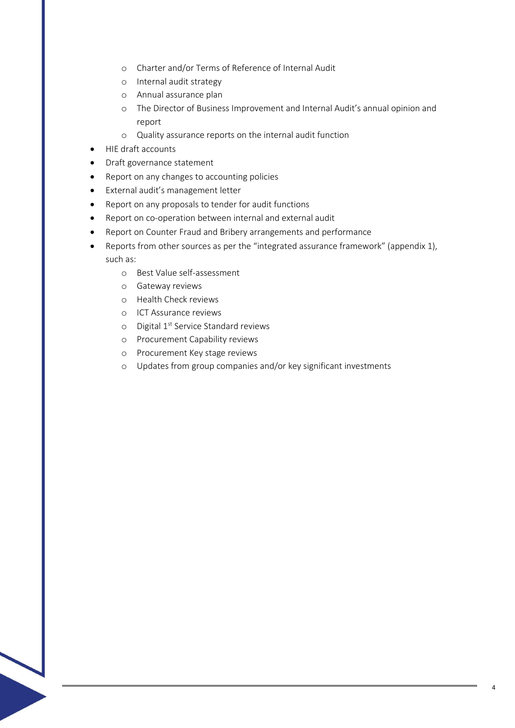- o Charter and/or Terms of Reference of Internal Audit
- o Internal audit strategy
- o Annual assurance plan
- o The Director of Business Improvement and Internal Audit's annual opinion and report
- o Quality assurance reports on the internal audit function
- HIE draft accounts
- Draft governance statement
- Report on any changes to accounting policies
- External audit's management letter
- Report on any proposals to tender for audit functions
- Report on co-operation between internal and external audit
- Report on Counter Fraud and Bribery arrangements and performance
- Reports from other sources as per the "integrated assurance framework" (appendix 1), such as:
	- o Best Value self-assessment
	- o Gateway reviews
	- o Health Check reviews
	- o ICT Assurance reviews
	- o Digital 1<sup>st</sup> Service Standard reviews
	- o Procurement Capability reviews
	- o Procurement Key stage reviews
	- o Updates from group companies and/or key significant investments